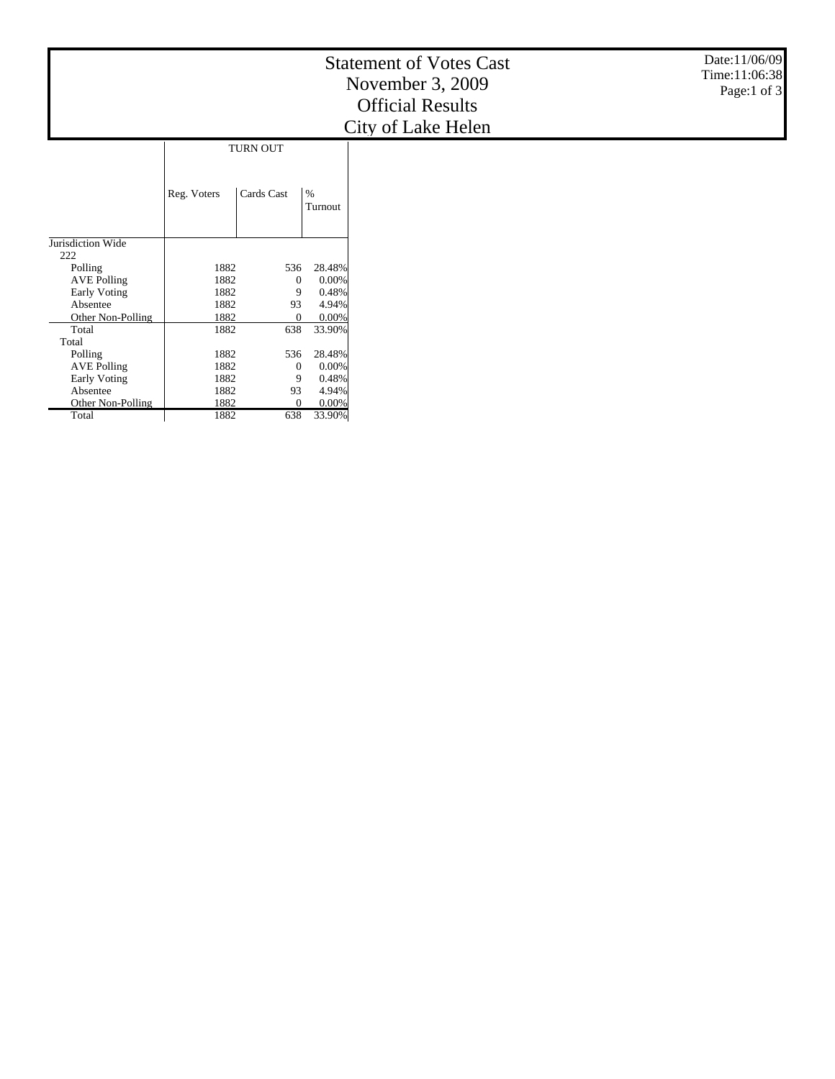|                     |             |              |                 | Date:11/06/09<br><b>Statement of Votes Cast</b><br>Time:11:06:38<br>November 3, 2009<br>Page:1 of 3<br><b>Official Results</b><br>City of Lake Helen |  |
|---------------------|-------------|--------------|-----------------|------------------------------------------------------------------------------------------------------------------------------------------------------|--|
| <b>TURN OUT</b>     |             |              |                 |                                                                                                                                                      |  |
|                     |             |              |                 |                                                                                                                                                      |  |
|                     | Reg. Voters | Cards Cast   | $\%$<br>Turnout |                                                                                                                                                      |  |
| Jurisdiction Wide   |             |              |                 |                                                                                                                                                      |  |
| 222                 |             |              |                 |                                                                                                                                                      |  |
| Polling             | 1882        | 536          | 28.48%          |                                                                                                                                                      |  |
| <b>AVE Polling</b>  | 1882        | $\mathbf{0}$ | 0.00%           |                                                                                                                                                      |  |
| Early Voting        | 1882        | 9            | 0.48%           |                                                                                                                                                      |  |
| Absentee            | 1882        | 93           | 4.94%           |                                                                                                                                                      |  |
| Other Non-Polling   | 1882        | $\theta$     | 0.00%           |                                                                                                                                                      |  |
| Total               | 1882        | 638          | 33.90%          |                                                                                                                                                      |  |
| Total               |             |              |                 |                                                                                                                                                      |  |
| Polling             | 1882        | 536          | 28.48%          |                                                                                                                                                      |  |
| <b>AVE Polling</b>  | 1882        | $\theta$     | 0.00%           |                                                                                                                                                      |  |
| <b>Early Voting</b> | 1882        | 9            | 0.48%           |                                                                                                                                                      |  |
| Absentee            | 1882        | 93           | 4.94%           |                                                                                                                                                      |  |
| Other Non-Polling   | 1882        | $\Omega$     | 0.00%           |                                                                                                                                                      |  |
| Total               | 1882        | 638          | 33.90%          |                                                                                                                                                      |  |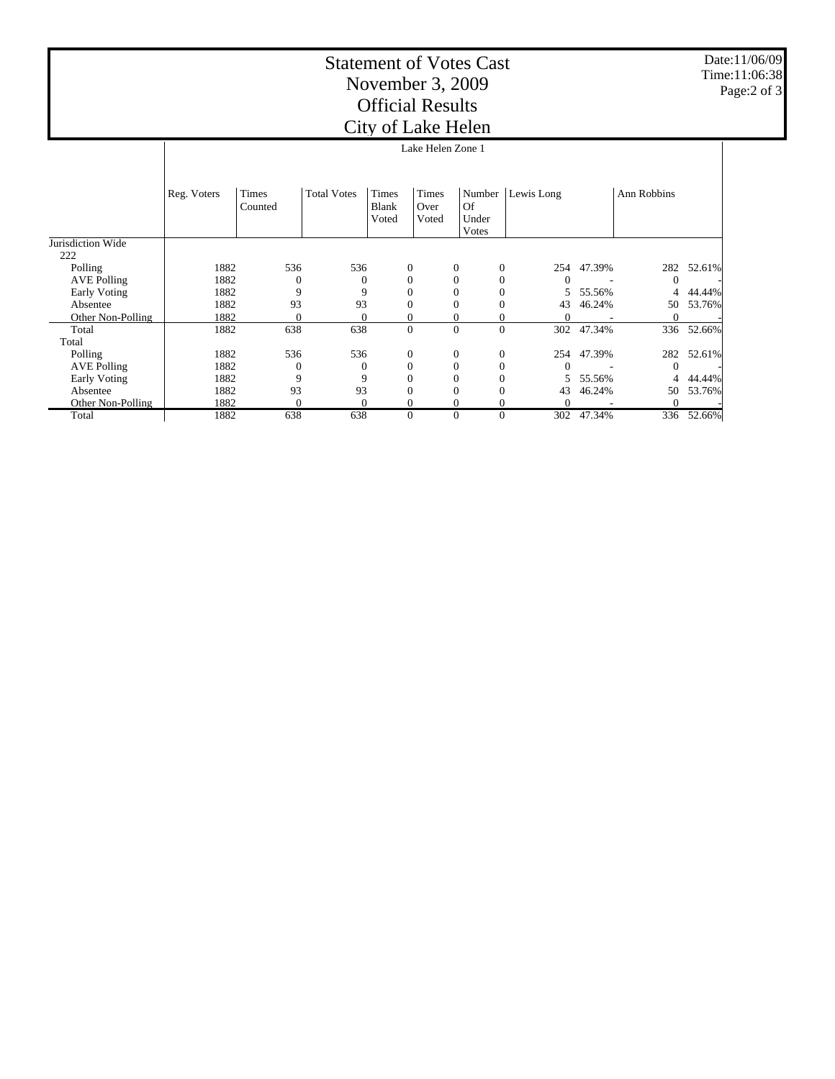## Statement of Votes Cast November 3, 2009 Official Results City of Lake Helen

Date:11/06/09 Time:11:06:38 Page:2 of 3

|                          |                   |                  |                    | Chev of Lake Height            |                        |                                       |              |            |            |             |        |
|--------------------------|-------------------|------------------|--------------------|--------------------------------|------------------------|---------------------------------------|--------------|------------|------------|-------------|--------|
|                          | Lake Helen Zone 1 |                  |                    |                                |                        |                                       |              |            |            |             |        |
|                          | Reg. Voters       | Times<br>Counted | <b>Total Votes</b> | Times<br><b>Blank</b><br>Voted | Times<br>Over<br>Voted | Number<br><b>Of</b><br>Under<br>Votes |              | Lewis Long |            | Ann Robbins |        |
| Jurisdiction Wide<br>222 |                   |                  |                    |                                |                        |                                       |              |            |            |             |        |
| Polling                  | 1882              | 536              | 536                | $\mathbf{0}$                   |                        | $\overline{0}$                        | $\mathbf{0}$ |            | 254 47.39% | 282         | 52.61% |
| <b>AVE Polling</b>       | 1882              | $\Omega$         |                    | $\Omega$                       |                        | $\mathbf{0}$                          | $\theta$     |            |            | $\Omega$    |        |
| <b>Early Voting</b>      | 1882              | 9                | 9                  |                                |                        | $\mathbf{0}$                          | $\Omega$     | 5          | 55.56%     | 4           | 44.44% |
| Absentee                 | 1882              | 93               | 93                 |                                |                        | $\mathbf{0}$                          |              | 43         | 46.24%     | 50          | 53.76% |
| Other Non-Polling        | 1882              | $\Omega$         |                    |                                |                        | 0                                     | 0            | $\Omega$   |            | 0           |        |
| Total                    | 1882              | 638              | 638                | $\mathbf{0}$                   |                        | $\Omega$                              | $\theta$     | 302        | 47.34%     | 336         | 52.66% |
| Total                    |                   |                  |                    |                                |                        |                                       |              |            |            |             |        |
| Polling                  | 1882              | 536              | 536                | $\mathbf{0}$                   |                        | $\overline{0}$                        | $\mathbf{0}$ |            | 254 47.39% | 282         | 52.61% |
| <b>AVE Polling</b>       | 1882              | $\Omega$         |                    | $\Omega$                       |                        | $\mathbf{0}$                          | $\theta$     |            |            | 0           |        |
| <b>Early Voting</b>      | 1882              | 9                | 9                  |                                |                        | $\mathbf{0}$                          | $\Omega$     | 5          | 55.56%     | 4           | 44.44% |
| Absentee                 | 1882              | 93               | 93                 |                                |                        | $\mathbf{0}$                          |              | 43         | 46.24%     | 50          | 53.76% |
| Other Non-Polling        | 1882              | $\theta$         |                    |                                |                        | 0                                     | 0            | $\Omega$   |            | 0           |        |
| Total                    | 1882              | 638              | 638                | 0                              |                        | $\mathbf{0}$                          | $\theta$     | 302        | 47.34%     | 336         | 52.66% |